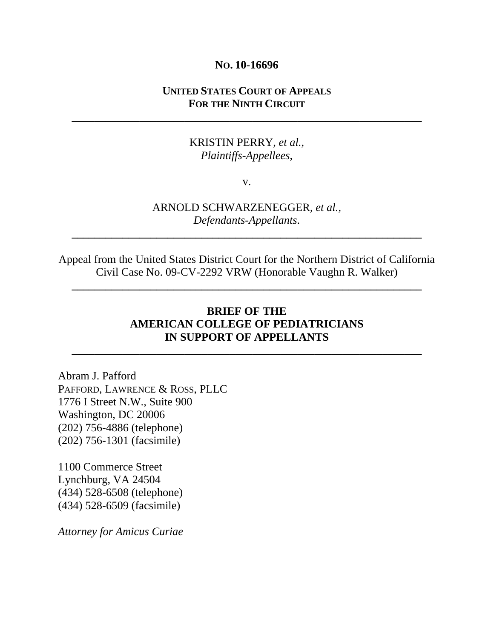#### **NO. 10-16696**

## **UNITED STATES COURT OF APPEALS FOR THE NINTH CIRCUIT**

**\_\_\_\_\_\_\_\_\_\_\_\_\_\_\_\_\_\_\_\_\_\_\_\_\_\_\_\_\_\_\_\_\_\_\_\_\_\_\_\_\_\_\_\_\_\_\_\_\_\_\_\_\_\_\_\_\_\_\_\_\_\_** 

## KRISTIN PERRY, *et al.*, *Plaintiffs-Appellees*,

v.

## ARNOLD SCHWARZENEGGER, *et al.*, *Defendants-Appellants*.

**\_\_\_\_\_\_\_\_\_\_\_\_\_\_\_\_\_\_\_\_\_\_\_\_\_\_\_\_\_\_\_\_\_\_\_\_\_\_\_\_\_\_\_\_\_\_\_\_\_\_\_\_\_\_\_\_\_\_\_\_\_\_** 

Appeal from the United States District Court for the Northern District of California Civil Case No. 09-CV-2292 VRW (Honorable Vaughn R. Walker)

**\_\_\_\_\_\_\_\_\_\_\_\_\_\_\_\_\_\_\_\_\_\_\_\_\_\_\_\_\_\_\_\_\_\_\_\_\_\_\_\_\_\_\_\_\_\_\_\_\_\_\_\_\_\_\_\_\_\_\_\_\_\_** 

## **BRIEF OF THE AMERICAN COLLEGE OF PEDIATRICIANS IN SUPPORT OF APPELLANTS**

**\_\_\_\_\_\_\_\_\_\_\_\_\_\_\_\_\_\_\_\_\_\_\_\_\_\_\_\_\_\_\_\_\_\_\_\_\_\_\_\_\_\_\_\_\_\_\_\_\_\_\_\_\_\_\_\_\_\_\_\_\_\_** 

Abram J. Pafford PAFFORD, LAWRENCE & ROSS, PLLC 1776 I Street N.W., Suite 900 Washington, DC 20006 (202) 756-4886 (telephone) (202) 756-1301 (facsimile)

1100 Commerce Street Lynchburg, VA 24504 (434) 528-6508 (telephone) (434) 528-6509 (facsimile)

*Attorney for Amicus Curiae*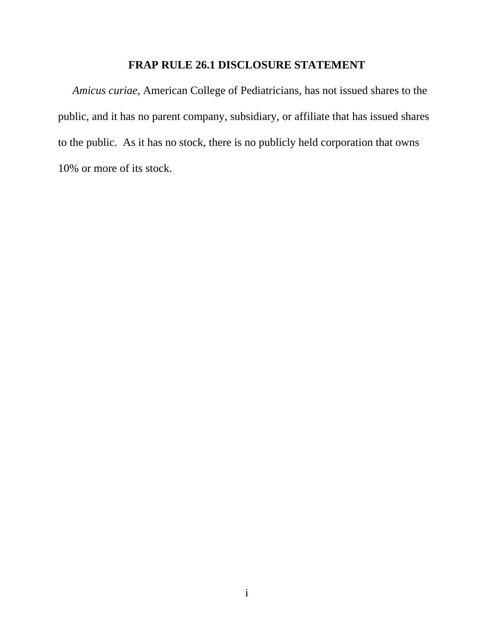# **FRAP RULE 26.1 DISCLOSURE STATEMENT**

*Amicus curiae*, American College of Pediatricians, has not issued shares to the public, and it has no parent company, subsidiary, or affiliate that has issued shares to the public. As it has no stock, there is no publicly held corporation that owns 10% or more of its stock.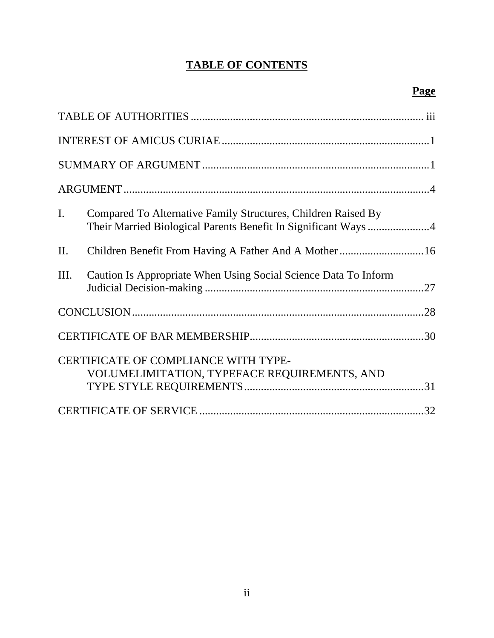# **TABLE OF CONTENTS**

| $\mathbf{I}$ . | Compared To Alternative Family Structures, Children Raised By                        |  |  |  |
|----------------|--------------------------------------------------------------------------------------|--|--|--|
| II.            | Children Benefit From Having A Father And A Mother16                                 |  |  |  |
| Ш.             | Caution Is Appropriate When Using Social Science Data To Inform                      |  |  |  |
|                |                                                                                      |  |  |  |
|                |                                                                                      |  |  |  |
|                | CERTIFICATE OF COMPLIANCE WITH TYPE-<br>VOLUMELIMITATION, TYPEFACE REQUIREMENTS, AND |  |  |  |
|                |                                                                                      |  |  |  |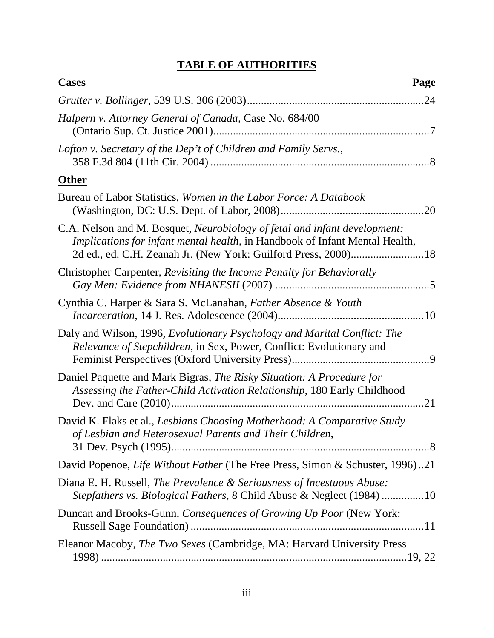# **TABLE OF AUTHORITIES**

| <b>Cases</b><br><b>Page</b>                                                                                                                              |
|----------------------------------------------------------------------------------------------------------------------------------------------------------|
|                                                                                                                                                          |
| Halpern v. Attorney General of Canada, Case No. 684/00                                                                                                   |
| Lofton v. Secretary of the Dep't of Children and Family Servs.,                                                                                          |
| <b>Other</b>                                                                                                                                             |
| Bureau of Labor Statistics, Women in the Labor Force: A Databook<br>.20                                                                                  |
| C.A. Nelson and M. Bosquet, Neurobiology of fetal and infant development:<br>Implications for infant mental health, in Handbook of Infant Mental Health, |
| Christopher Carpenter, Revisiting the Income Penalty for Behaviorally                                                                                    |
| Cynthia C. Harper & Sara S. McLanahan, Father Absence & Youth                                                                                            |
| Daly and Wilson, 1996, Evolutionary Psychology and Marital Conflict: The<br>Relevance of Stepchildren, in Sex, Power, Conflict: Evolutionary and         |
| Daniel Paquette and Mark Bigras, The Risky Situation: A Procedure for<br>Assessing the Father-Child Activation Relationship, 180 Early Childhood<br>21   |
| David K. Flaks et al., Lesbians Choosing Motherhood: A Comparative Study<br>of Lesbian and Heterosexual Parents and Their Children,                      |
| David Popenoe, Life Without Father (The Free Press, Simon & Schuster, 1996)21                                                                            |
| Diana E. H. Russell, The Prevalence & Seriousness of Incestuous Abuse:<br>Stepfathers vs. Biological Fathers, 8 Child Abuse & Neglect (1984) 10          |
| Duncan and Brooks-Gunn, Consequences of Growing Up Poor (New York:                                                                                       |
| Eleanor Macoby, <i>The Two Sexes</i> (Cambridge, MA: Harvard University Press                                                                            |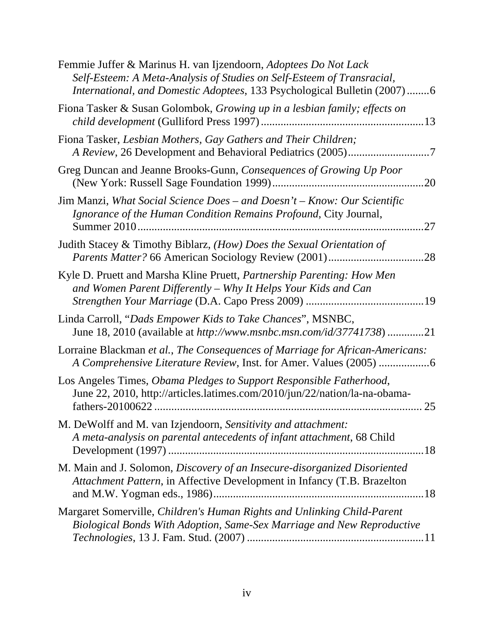| Femmie Juffer & Marinus H. van Ijzendoorn, Adoptees Do Not Lack<br>Self-Esteem: A Meta-Analysis of Studies on Self-Esteem of Transracial,<br>International, and Domestic Adoptees, 133 Psychological Bulletin (2007)6 |
|-----------------------------------------------------------------------------------------------------------------------------------------------------------------------------------------------------------------------|
| Fiona Tasker & Susan Golombok, Growing up in a lesbian family; effects on                                                                                                                                             |
| Fiona Tasker, Lesbian Mothers, Gay Gathers and Their Children;                                                                                                                                                        |
| Greg Duncan and Jeanne Brooks-Gunn, Consequences of Growing Up Poor<br>.20                                                                                                                                            |
| Jim Manzi, What Social Science Does – and Doesn't – Know: Our Scientific<br>Ignorance of the Human Condition Remains Profound, City Journal,<br>27                                                                    |
| Judith Stacey & Timothy Biblarz, (How) Does the Sexual Orientation of                                                                                                                                                 |
| Kyle D. Pruett and Marsha Kline Pruett, <i>Partnership Parenting: How Men</i><br>and Women Parent Differently - Why It Helps Your Kids and Can                                                                        |
| Linda Carroll, "Dads Empower Kids to Take Chances", MSNBC,<br>June 18, 2010 (available at http://www.msnbc.msn.com/id/37741738)21                                                                                     |
| Lorraine Blackman et al., The Consequences of Marriage for African-Americans:                                                                                                                                         |
| Los Angeles Times, Obama Pledges to Support Responsible Fatherhood,<br>June 22, 2010, http://articles.latimes.com/2010/jun/22/nation/la-na-obama-                                                                     |
| M. DeWolff and M. van Izjendoorn, Sensitivity and attachment:<br>A meta-analysis on parental antecedents of infant attachment, 68 Child                                                                               |
| M. Main and J. Solomon, Discovery of an Insecure-disorganized Disoriented<br>Attachment Pattern, in Affective Development in Infancy (T.B. Brazelton                                                                  |
| Margaret Somerville, Children's Human Rights and Unlinking Child-Parent<br>Biological Bonds With Adoption, Same-Sex Marriage and New Reproductive                                                                     |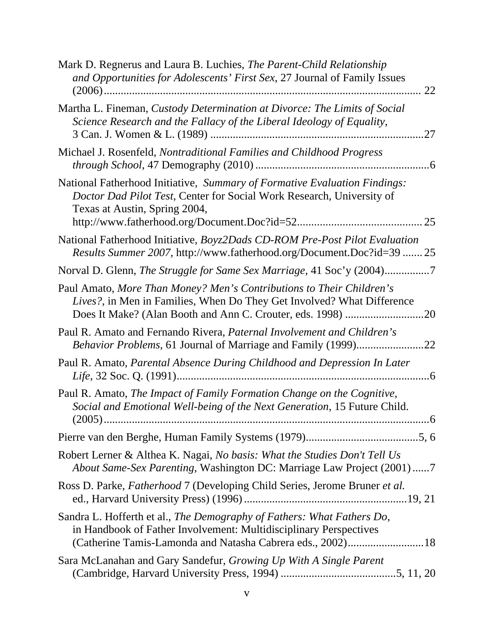| Mark D. Regnerus and Laura B. Luchies, <i>The Parent-Child Relationship</i><br>and Opportunities for Adolescents' First Sex, 27 Journal of Family Issues<br>22                                            |
|-----------------------------------------------------------------------------------------------------------------------------------------------------------------------------------------------------------|
| Martha L. Fineman, Custody Determination at Divorce: The Limits of Social<br>Science Research and the Fallacy of the Liberal Ideology of Equality,<br>.27                                                 |
| Michael J. Rosenfeld, Nontraditional Families and Childhood Progress                                                                                                                                      |
| National Fatherhood Initiative, Summary of Formative Evaluation Findings:<br>Doctor Dad Pilot Test, Center for Social Work Research, University of<br>Texas at Austin, Spring 2004,                       |
| National Fatherhood Initiative, Boyz2Dads CD-ROM Pre-Post Pilot Evaluation                                                                                                                                |
| Results Summer 2007, http://www.fatherhood.org/Document.Doc?id=39  25                                                                                                                                     |
| Norval D. Glenn, The Struggle for Same Sex Marriage, 41 Soc'y (2004)7                                                                                                                                     |
| Paul Amato, More Than Money? Men's Contributions to Their Children's<br>Lives?, in Men in Families, When Do They Get Involved? What Difference                                                            |
| Paul R. Amato and Fernando Rivera, Paternal Involvement and Children's                                                                                                                                    |
| Paul R. Amato, Parental Absence During Childhood and Depression In Later                                                                                                                                  |
| Paul R. Amato, The Impact of Family Formation Change on the Cognitive,<br>Social and Emotional Well-being of the Next Generation, 15 Future Child.<br>$(2005)$<br>6                                       |
|                                                                                                                                                                                                           |
| Robert Lerner & Althea K. Nagai, No basis: What the Studies Don't Tell Us<br>About Same-Sex Parenting, Washington DC: Marriage Law Project (2001) 7                                                       |
| Ross D. Parke, <i>Fatherhood</i> 7 (Developing Child Series, Jerome Bruner et al.                                                                                                                         |
| Sandra L. Hofferth et al., The Demography of Fathers: What Fathers Do,<br>in Handbook of Father Involvement: Multidisciplinary Perspectives<br>(Catherine Tamis-Lamonda and Natasha Cabrera eds., 2002)18 |
| Sara McLanahan and Gary Sandefur, Growing Up With A Single Parent                                                                                                                                         |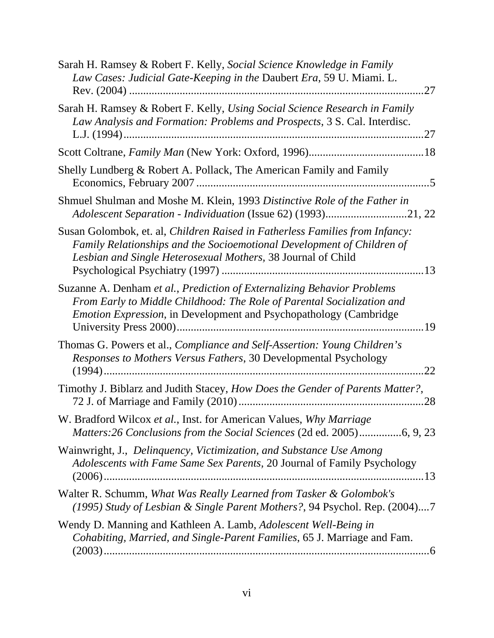| Sarah H. Ramsey & Robert F. Kelly, Social Science Knowledge in Family<br>Law Cases: Judicial Gate-Keeping in the Daubert Era, 59 U. Miami. L.<br>.27                                                                            |
|---------------------------------------------------------------------------------------------------------------------------------------------------------------------------------------------------------------------------------|
| Sarah H. Ramsey & Robert F. Kelly, Using Social Science Research in Family<br>Law Analysis and Formation: Problems and Prospects, 3 S. Cal. Interdisc.<br>.27                                                                   |
|                                                                                                                                                                                                                                 |
| Shelly Lundberg & Robert A. Pollack, The American Family and Family<br>$\sqrt{5}$                                                                                                                                               |
| Shmuel Shulman and Moshe M. Klein, 1993 Distinctive Role of the Father in<br>Adolescent Separation - Individuation (Issue 62) (1993)21, 22                                                                                      |
| Susan Golombok, et. al, Children Raised in Fatherless Families from Infancy:<br>Family Relationships and the Socioemotional Development of Children of<br>Lesbian and Single Heterosexual Mothers, 38 Journal of Child          |
| Suzanne A. Denham et al., Prediction of Externalizing Behavior Problems<br>From Early to Middle Childhood: The Role of Parental Socialization and<br><i>Emotion Expression</i> , in Development and Psychopathology (Cambridge) |
| Thomas G. Powers et al., <i>Compliance and Self-Assertion: Young Children's</i><br>Responses to Mothers Versus Fathers, 30 Developmental Psychology<br>.22                                                                      |
| Timothy J. Biblarz and Judith Stacey, How Does the Gender of Parents Matter?,                                                                                                                                                   |
| W. Bradford Wilcox et al., Inst. for American Values, Why Marriage                                                                                                                                                              |
| Wainwright, J., Delinquency, Victimization, and Substance Use Among<br>Adolescents with Fame Same Sex Parents, 20 Journal of Family Psychology                                                                                  |
| Walter R. Schumm, What Was Really Learned from Tasker & Golombok's<br>(1995) Study of Lesbian & Single Parent Mothers?, 94 Psychol. Rep. (2004)7                                                                                |
| Wendy D. Manning and Kathleen A. Lamb, Adolescent Well-Being in<br>Cohabiting, Married, and Single-Parent Families, 65 J. Marriage and Fam.                                                                                     |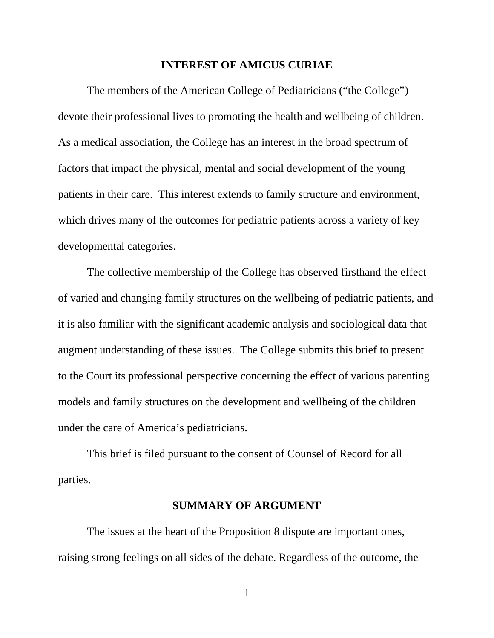#### **INTEREST OF AMICUS CURIAE**

The members of the American College of Pediatricians ("the College") devote their professional lives to promoting the health and wellbeing of children. As a medical association, the College has an interest in the broad spectrum of factors that impact the physical, mental and social development of the young patients in their care. This interest extends to family structure and environment, which drives many of the outcomes for pediatric patients across a variety of key developmental categories.

The collective membership of the College has observed firsthand the effect of varied and changing family structures on the wellbeing of pediatric patients, and it is also familiar with the significant academic analysis and sociological data that augment understanding of these issues. The College submits this brief to present to the Court its professional perspective concerning the effect of various parenting models and family structures on the development and wellbeing of the children under the care of America's pediatricians.

This brief is filed pursuant to the consent of Counsel of Record for all parties.

#### **SUMMARY OF ARGUMENT**

The issues at the heart of the Proposition 8 dispute are important ones, raising strong feelings on all sides of the debate. Regardless of the outcome, the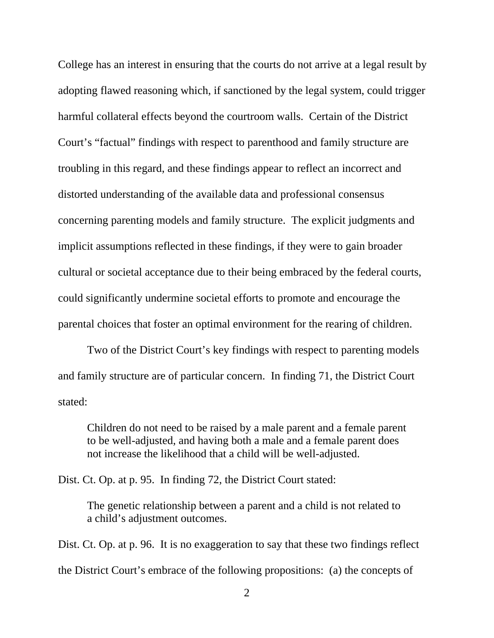College has an interest in ensuring that the courts do not arrive at a legal result by adopting flawed reasoning which, if sanctioned by the legal system, could trigger harmful collateral effects beyond the courtroom walls. Certain of the District Court's "factual" findings with respect to parenthood and family structure are troubling in this regard, and these findings appear to reflect an incorrect and distorted understanding of the available data and professional consensus concerning parenting models and family structure. The explicit judgments and implicit assumptions reflected in these findings, if they were to gain broader cultural or societal acceptance due to their being embraced by the federal courts, could significantly undermine societal efforts to promote and encourage the parental choices that foster an optimal environment for the rearing of children.

Two of the District Court's key findings with respect to parenting models and family structure are of particular concern. In finding 71, the District Court stated:

Children do not need to be raised by a male parent and a female parent to be well-adjusted, and having both a male and a female parent does not increase the likelihood that a child will be well-adjusted.

Dist. Ct. Op. at p. 95. In finding 72, the District Court stated:

The genetic relationship between a parent and a child is not related to a child's adjustment outcomes.

Dist. Ct. Op. at p. 96. It is no exaggeration to say that these two findings reflect the District Court's embrace of the following propositions: (a) the concepts of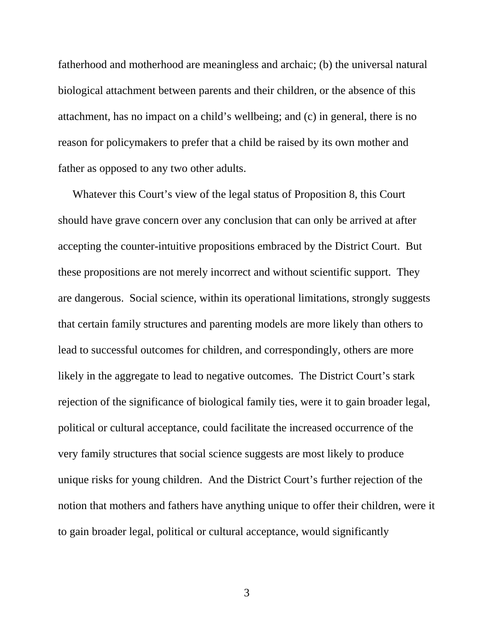fatherhood and motherhood are meaningless and archaic; (b) the universal natural biological attachment between parents and their children, or the absence of this attachment, has no impact on a child's wellbeing; and (c) in general, there is no reason for policymakers to prefer that a child be raised by its own mother and father as opposed to any two other adults.

 Whatever this Court's view of the legal status of Proposition 8, this Court should have grave concern over any conclusion that can only be arrived at after accepting the counter-intuitive propositions embraced by the District Court. But these propositions are not merely incorrect and without scientific support. They are dangerous. Social science, within its operational limitations, strongly suggests that certain family structures and parenting models are more likely than others to lead to successful outcomes for children, and correspondingly, others are more likely in the aggregate to lead to negative outcomes. The District Court's stark rejection of the significance of biological family ties, were it to gain broader legal, political or cultural acceptance, could facilitate the increased occurrence of the very family structures that social science suggests are most likely to produce unique risks for young children. And the District Court's further rejection of the notion that mothers and fathers have anything unique to offer their children, were it to gain broader legal, political or cultural acceptance, would significantly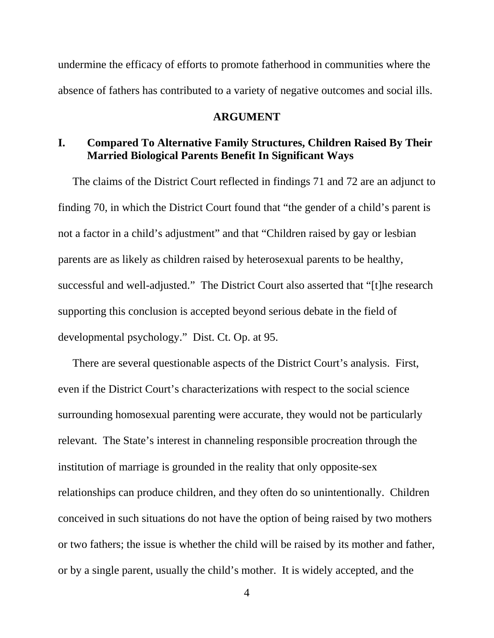undermine the efficacy of efforts to promote fatherhood in communities where the absence of fathers has contributed to a variety of negative outcomes and social ills.

#### **ARGUMENT**

# **I. Compared To Alternative Family Structures, Children Raised By Their Married Biological Parents Benefit In Significant Ways**

The claims of the District Court reflected in findings 71 and 72 are an adjunct to finding 70, in which the District Court found that "the gender of a child's parent is not a factor in a child's adjustment" and that "Children raised by gay or lesbian parents are as likely as children raised by heterosexual parents to be healthy, successful and well-adjusted." The District Court also asserted that "[t]he research supporting this conclusion is accepted beyond serious debate in the field of developmental psychology." Dist. Ct. Op. at 95.

 There are several questionable aspects of the District Court's analysis. First, even if the District Court's characterizations with respect to the social science surrounding homosexual parenting were accurate, they would not be particularly relevant. The State's interest in channeling responsible procreation through the institution of marriage is grounded in the reality that only opposite-sex relationships can produce children, and they often do so unintentionally. Children conceived in such situations do not have the option of being raised by two mothers or two fathers; the issue is whether the child will be raised by its mother and father, or by a single parent, usually the child's mother. It is widely accepted, and the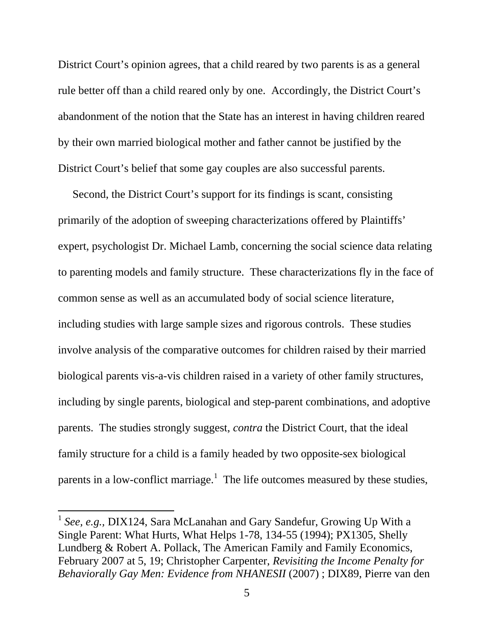District Court's opinion agrees, that a child reared by two parents is as a general rule better off than a child reared only by one. Accordingly, the District Court's abandonment of the notion that the State has an interest in having children reared by their own married biological mother and father cannot be justified by the District Court's belief that some gay couples are also successful parents.

 Second, the District Court's support for its findings is scant, consisting primarily of the adoption of sweeping characterizations offered by Plaintiffs' expert, psychologist Dr. Michael Lamb, concerning the social science data relating to parenting models and family structure. These characterizations fly in the face of common sense as well as an accumulated body of social science literature, including studies with large sample sizes and rigorous controls. These studies involve analysis of the comparative outcomes for children raised by their married biological parents vis-a-vis children raised in a variety of other family structures, including by single parents, biological and step-parent combinations, and adoptive parents. The studies strongly suggest, *contra* the District Court, that the ideal family structure for a child is a family headed by two opposite-sex biological parents in a low-conflict marriage.<sup>1</sup> The life outcomes measured by these studies,

<sup>&</sup>lt;sup>1</sup> See, e.g., DIX124, Sara McLanahan and Gary Sandefur, Growing Up With a Single Parent: What Hurts, What Helps 1-78, 134-55 (1994); PX1305, Shelly Lundberg & Robert A. Pollack, The American Family and Family Economics, February 2007 at 5, 19; Christopher Carpenter, *Revisiting the Income Penalty for Behaviorally Gay Men: Evidence from NHANESII* (2007) ; DIX89, Pierre van den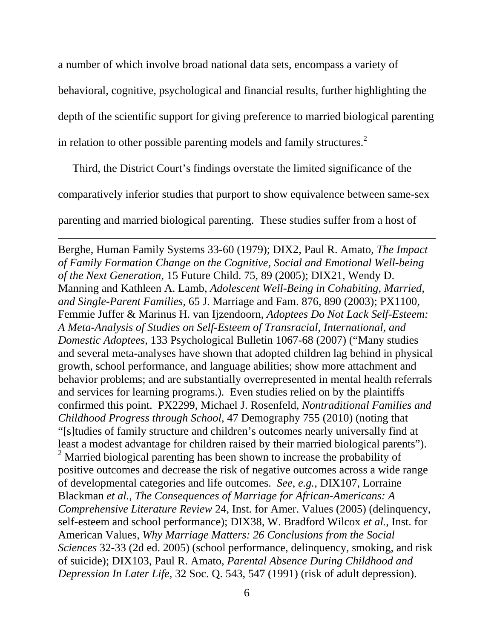a number of which involve broad national data sets, encompass a variety of

behavioral, cognitive, psychological and financial results, further highlighting the

depth of the scientific support for giving preference to married biological parenting

in relation to other possible parenting models and family structures.<sup>2</sup>

Third, the District Court's findings overstate the limited significance of the

comparatively inferior studies that purport to show equivalence between same-sex

<u> 1989 - Johann Stoff, amerikansk politiker (d. 1989)</u>

parenting and married biological parenting. These studies suffer from a host of

Berghe, Human Family Systems 33-60 (1979); DIX2, Paul R. Amato, *The Impact of Family Formation Change on the Cognitive, Social and Emotional Well-being of the Next Generation*, 15 Future Child. 75, 89 (2005); DIX21, Wendy D. Manning and Kathleen A. Lamb, *Adolescent Well-Being in Cohabiting, Married, and Single-Parent Families*, 65 J. Marriage and Fam. 876, 890 (2003); PX1100, Femmie Juffer & Marinus H. van Ijzendoorn, *Adoptees Do Not Lack Self-Esteem: A Meta-Analysis of Studies on Self-Esteem of Transracial, International, and Domestic Adoptees*, 133 Psychological Bulletin 1067-68 (2007) ("Many studies and several meta-analyses have shown that adopted children lag behind in physical growth, school performance, and language abilities; show more attachment and behavior problems; and are substantially overrepresented in mental health referrals and services for learning programs.). Even studies relied on by the plaintiffs confirmed this point. PX2299, Michael J. Rosenfeld, *Nontraditional Families and Childhood Progress through School*, 47 Demography 755 (2010) (noting that "[s]tudies of family structure and children's outcomes nearly universally find at least a modest advantage for children raised by their married biological parents"). <sup>2</sup> Married biological parenting has been shown to increase the probability of positive outcomes and decrease the risk of negative outcomes across a wide range of developmental categories and life outcomes. *See, e.g.,* DIX107, Lorraine Blackman *et al.*, *The Consequences of Marriage for African-Americans: A Comprehensive Literature Review* 24, Inst. for Amer. Values (2005) (delinquency, self-esteem and school performance); DIX38, W. Bradford Wilcox *et al.*, Inst. for American Values, *Why Marriage Matters: 26 Conclusions from the Social Sciences* 32-33 (2d ed. 2005) (school performance, delinquency, smoking, and risk of suicide); DIX103, Paul R. Amato, *Parental Absence During Childhood and Depression In Later Life*, 32 Soc. Q. 543, 547 (1991) (risk of adult depression).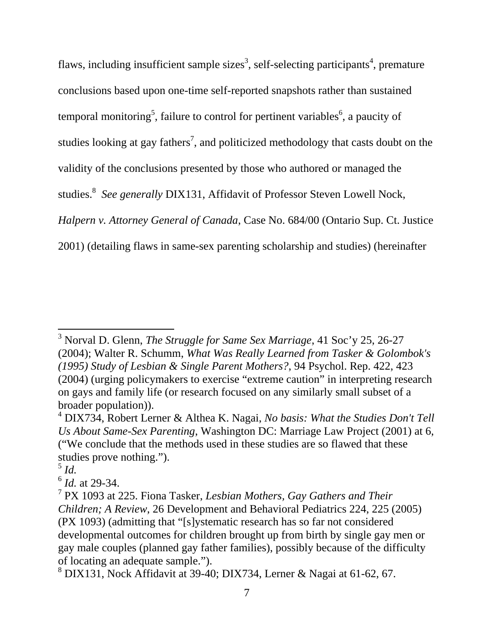flaws, including insufficient sample sizes<sup>3</sup>, self-selecting participants<sup>4</sup>, premature conclusions based upon one-time self-reported snapshots rather than sustained temporal monitoring<sup>5</sup>, failure to control for pertinent variables<sup>6</sup>, a paucity of studies looking at gay fathers<sup>7</sup>, and politicized methodology that casts doubt on the validity of the conclusions presented by those who authored or managed the studies.<sup>8</sup> See generally DIX131, Affidavit of Professor Steven Lowell Nock, *Halpern v. Attorney General of Canada*, Case No. 684/00 (Ontario Sup. Ct. Justice 2001) (detailing flaws in same-sex parenting scholarship and studies) (hereinafter

<sup>3</sup> Norval D. Glenn, *The Struggle for Same Sex Marriage*, 41 Soc'y 25, 26-27 (2004); Walter R. Schumm, *What Was Really Learned from Tasker & Golombok's (1995) Study of Lesbian & Single Parent Mothers?*, 94 Psychol. Rep. 422, 423 (2004) (urging policymakers to exercise "extreme caution" in interpreting research on gays and family life (or research focused on any similarly small subset of a broader population)).

<sup>4</sup> DIX734, Robert Lerner & Althea K. Nagai, *No basis: What the Studies Don't Tell Us About Same-Sex Parenting*, Washington DC: Marriage Law Project (2001) at 6, ("We conclude that the methods used in these studies are so flawed that these studies prove nothing.").

<sup>5</sup> *Id.*

<sup>6</sup> *Id.* at 29-34.

<sup>7</sup> PX 1093 at 225. Fiona Tasker, *Lesbian Mothers, Gay Gathers and Their Children; A Review*, 26 Development and Behavioral Pediatrics 224, 225 (2005) (PX 1093) (admitting that "[s]ystematic research has so far not considered developmental outcomes for children brought up from birth by single gay men or gay male couples (planned gay father families), possibly because of the difficulty of locating an adequate sample.").

<sup>8</sup> DIX131, Nock Affidavit at 39-40; DIX734, Lerner & Nagai at 61-62, 67.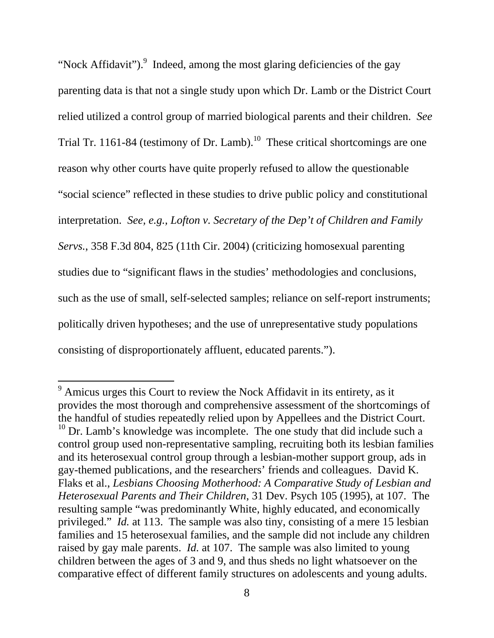"Nock Affidavit"). $9$  Indeed, among the most glaring deficiencies of the gay parenting data is that not a single study upon which Dr. Lamb or the District Court relied utilized a control group of married biological parents and their children. *See* Trial Tr. 1161-84 (testimony of Dr. Lamb).<sup>10</sup> These critical shortcomings are one reason why other courts have quite properly refused to allow the questionable "social science" reflected in these studies to drive public policy and constitutional interpretation. *See, e.g., Lofton v. Secretary of the Dep't of Children and Family Servs.*, 358 F.3d 804, 825 (11th Cir. 2004) (criticizing homosexual parenting studies due to "significant flaws in the studies' methodologies and conclusions, such as the use of small, self-selected samples; reliance on self-report instruments; politically driven hypotheses; and the use of unrepresentative study populations consisting of disproportionately affluent, educated parents.").

 $9$  Amicus urges this Court to review the Nock Affidavit in its entirety, as it provides the most thorough and comprehensive assessment of the shortcomings of the handful of studies repeatedly relied upon by Appellees and the District Court. <sup>10</sup> Dr. Lamb's knowledge was incomplete. The one study that did include such a control group used non-representative sampling, recruiting both its lesbian families and its heterosexual control group through a lesbian-mother support group, ads in gay-themed publications, and the researchers' friends and colleagues. David K. Flaks et al., *Lesbians Choosing Motherhood: A Comparative Study of Lesbian and Heterosexual Parents and Their Children*, 31 Dev. Psych 105 (1995), at 107. The resulting sample "was predominantly White, highly educated, and economically privileged." *Id.* at 113. The sample was also tiny, consisting of a mere 15 lesbian families and 15 heterosexual families, and the sample did not include any children raised by gay male parents. *Id.* at 107. The sample was also limited to young children between the ages of 3 and 9, and thus sheds no light whatsoever on the comparative effect of different family structures on adolescents and young adults.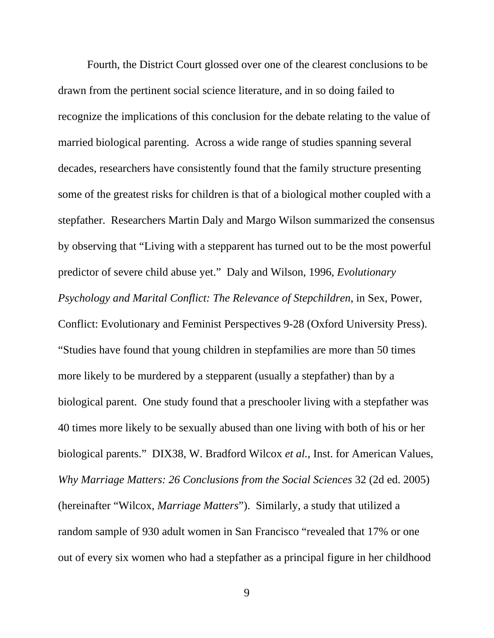Fourth, the District Court glossed over one of the clearest conclusions to be drawn from the pertinent social science literature, and in so doing failed to recognize the implications of this conclusion for the debate relating to the value of married biological parenting. Across a wide range of studies spanning several decades, researchers have consistently found that the family structure presenting some of the greatest risks for children is that of a biological mother coupled with a stepfather. Researchers Martin Daly and Margo Wilson summarized the consensus by observing that "Living with a stepparent has turned out to be the most powerful predictor of severe child abuse yet." Daly and Wilson, 1996, *Evolutionary Psychology and Marital Conflict: The Relevance of Stepchildren*, in Sex, Power, Conflict: Evolutionary and Feminist Perspectives 9-28 (Oxford University Press). "Studies have found that young children in stepfamilies are more than 50 times more likely to be murdered by a stepparent (usually a stepfather) than by a biological parent. One study found that a preschooler living with a stepfather was 40 times more likely to be sexually abused than one living with both of his or her biological parents." DIX38, W. Bradford Wilcox *et al.*, Inst. for American Values, *Why Marriage Matters: 26 Conclusions from the Social Sciences* 32 (2d ed. 2005) (hereinafter "Wilcox, *Marriage Matters*"). Similarly, a study that utilized a random sample of 930 adult women in San Francisco "revealed that 17% or one out of every six women who had a stepfather as a principal figure in her childhood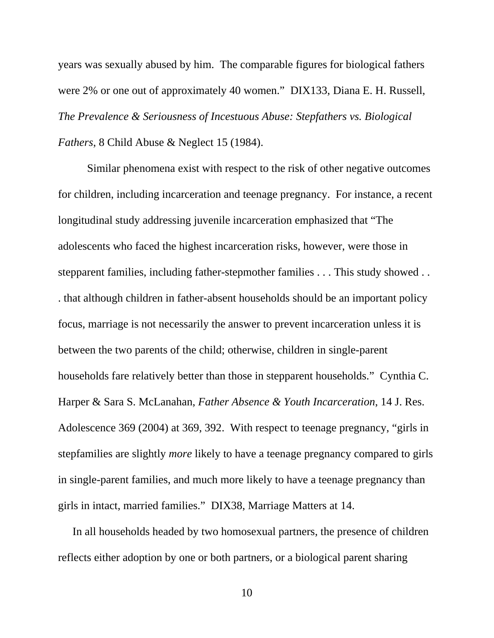years was sexually abused by him. The comparable figures for biological fathers were 2% or one out of approximately 40 women." DIX133, Diana E. H. Russell, *The Prevalence & Seriousness of Incestuous Abuse: Stepfathers vs. Biological Fathers*, 8 Child Abuse & Neglect 15 (1984).

Similar phenomena exist with respect to the risk of other negative outcomes for children, including incarceration and teenage pregnancy. For instance, a recent longitudinal study addressing juvenile incarceration emphasized that "The adolescents who faced the highest incarceration risks, however, were those in stepparent families, including father-stepmother families . . . This study showed . . . that although children in father-absent households should be an important policy focus, marriage is not necessarily the answer to prevent incarceration unless it is between the two parents of the child; otherwise, children in single-parent households fare relatively better than those in stepparent households." Cynthia C. Harper & Sara S. McLanahan, *Father Absence & Youth Incarceration*, 14 J. Res. Adolescence 369 (2004) at 369, 392. With respect to teenage pregnancy, "girls in stepfamilies are slightly *more* likely to have a teenage pregnancy compared to girls in single-parent families, and much more likely to have a teenage pregnancy than girls in intact, married families." DIX38, Marriage Matters at 14.

 In all households headed by two homosexual partners, the presence of children reflects either adoption by one or both partners, or a biological parent sharing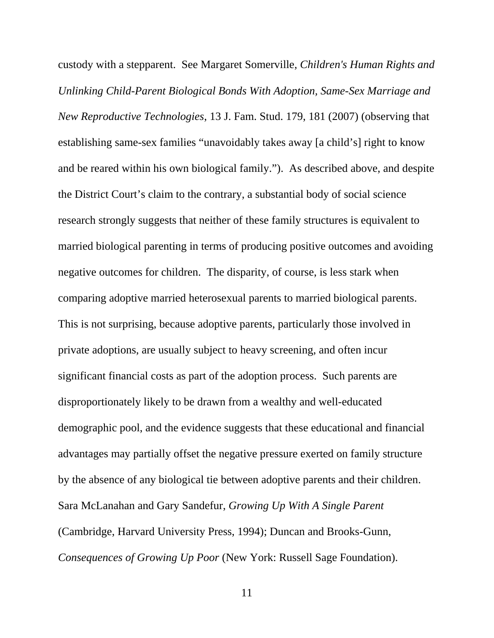custody with a stepparent. See Margaret Somerville, *Children's Human Rights and Unlinking Child-Parent Biological Bonds With Adoption, Same-Sex Marriage and New Reproductive Technologies*, 13 J. Fam. Stud. 179, 181 (2007) (observing that establishing same-sex families "unavoidably takes away [a child's] right to know and be reared within his own biological family."). As described above, and despite the District Court's claim to the contrary, a substantial body of social science research strongly suggests that neither of these family structures is equivalent to married biological parenting in terms of producing positive outcomes and avoiding negative outcomes for children. The disparity, of course, is less stark when comparing adoptive married heterosexual parents to married biological parents. This is not surprising, because adoptive parents, particularly those involved in private adoptions, are usually subject to heavy screening, and often incur significant financial costs as part of the adoption process. Such parents are disproportionately likely to be drawn from a wealthy and well-educated demographic pool, and the evidence suggests that these educational and financial advantages may partially offset the negative pressure exerted on family structure by the absence of any biological tie between adoptive parents and their children. Sara McLanahan and Gary Sandefur, *Growing Up With A Single Parent* (Cambridge, Harvard University Press, 1994); Duncan and Brooks-Gunn, *Consequences of Growing Up Poor* (New York: Russell Sage Foundation).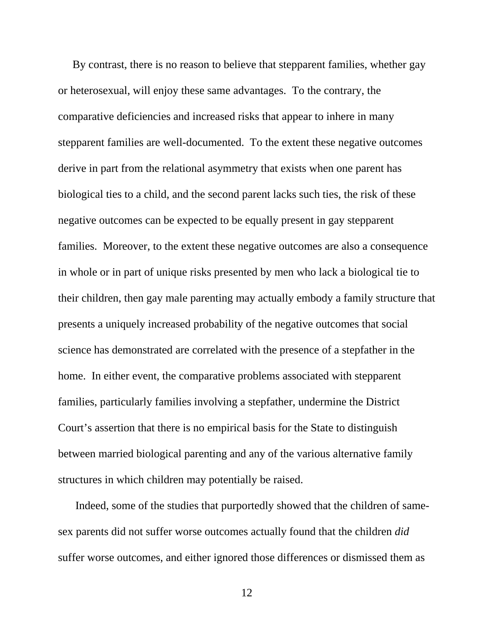By contrast, there is no reason to believe that stepparent families, whether gay or heterosexual, will enjoy these same advantages. To the contrary, the comparative deficiencies and increased risks that appear to inhere in many stepparent families are well-documented. To the extent these negative outcomes derive in part from the relational asymmetry that exists when one parent has biological ties to a child, and the second parent lacks such ties, the risk of these negative outcomes can be expected to be equally present in gay stepparent families. Moreover, to the extent these negative outcomes are also a consequence in whole or in part of unique risks presented by men who lack a biological tie to their children, then gay male parenting may actually embody a family structure that presents a uniquely increased probability of the negative outcomes that social science has demonstrated are correlated with the presence of a stepfather in the home. In either event, the comparative problems associated with stepparent families, particularly families involving a stepfather, undermine the District Court's assertion that there is no empirical basis for the State to distinguish between married biological parenting and any of the various alternative family structures in which children may potentially be raised.

 Indeed, some of the studies that purportedly showed that the children of samesex parents did not suffer worse outcomes actually found that the children *did* suffer worse outcomes, and either ignored those differences or dismissed them as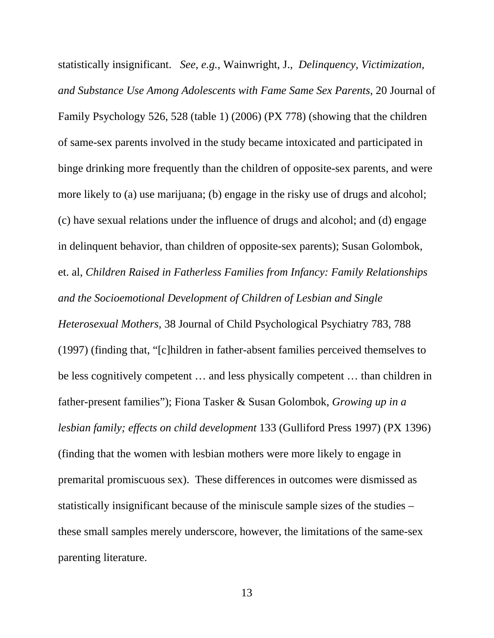statistically insignificant. *See, e.g.,* Wainwright, J., *Delinquency, Victimization, and Substance Use Among Adolescents with Fame Same Sex Parents,* 20 Journal of Family Psychology 526, 528 (table 1) (2006) (PX 778) (showing that the children of same-sex parents involved in the study became intoxicated and participated in binge drinking more frequently than the children of opposite-sex parents, and were more likely to (a) use marijuana; (b) engage in the risky use of drugs and alcohol; (c) have sexual relations under the influence of drugs and alcohol; and (d) engage in delinquent behavior, than children of opposite-sex parents); Susan Golombok, et. al, *Children Raised in Fatherless Families from Infancy: Family Relationships and the Socioemotional Development of Children of Lesbian and Single Heterosexual Mothers,* 38 Journal of Child Psychological Psychiatry 783, 788 (1997) (finding that, "[c]hildren in father-absent families perceived themselves to be less cognitively competent … and less physically competent … than children in father-present families"); Fiona Tasker & Susan Golombok, *Growing up in a lesbian family; effects on child development* 133 (Gulliford Press 1997) (PX 1396) (finding that the women with lesbian mothers were more likely to engage in premarital promiscuous sex). These differences in outcomes were dismissed as statistically insignificant because of the miniscule sample sizes of the studies – these small samples merely underscore, however, the limitations of the same-sex parenting literature.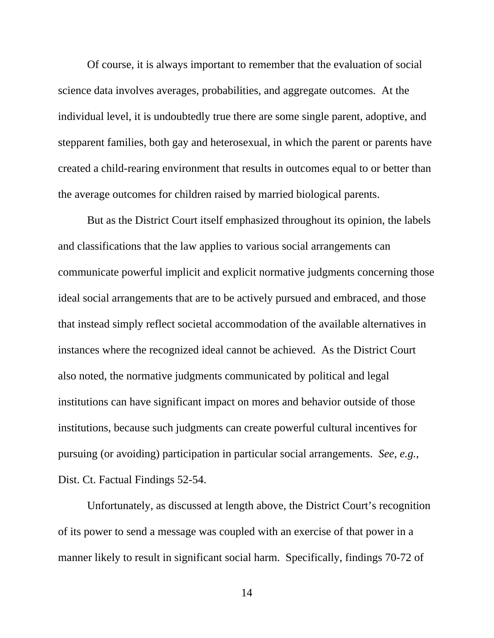Of course, it is always important to remember that the evaluation of social science data involves averages, probabilities, and aggregate outcomes. At the individual level, it is undoubtedly true there are some single parent, adoptive, and stepparent families, both gay and heterosexual, in which the parent or parents have created a child-rearing environment that results in outcomes equal to or better than the average outcomes for children raised by married biological parents.

But as the District Court itself emphasized throughout its opinion, the labels and classifications that the law applies to various social arrangements can communicate powerful implicit and explicit normative judgments concerning those ideal social arrangements that are to be actively pursued and embraced, and those that instead simply reflect societal accommodation of the available alternatives in instances where the recognized ideal cannot be achieved. As the District Court also noted, the normative judgments communicated by political and legal institutions can have significant impact on mores and behavior outside of those institutions, because such judgments can create powerful cultural incentives for pursuing (or avoiding) participation in particular social arrangements. *See*, *e.g.*, Dist. Ct. Factual Findings 52-54.

Unfortunately, as discussed at length above, the District Court's recognition of its power to send a message was coupled with an exercise of that power in a manner likely to result in significant social harm. Specifically, findings 70-72 of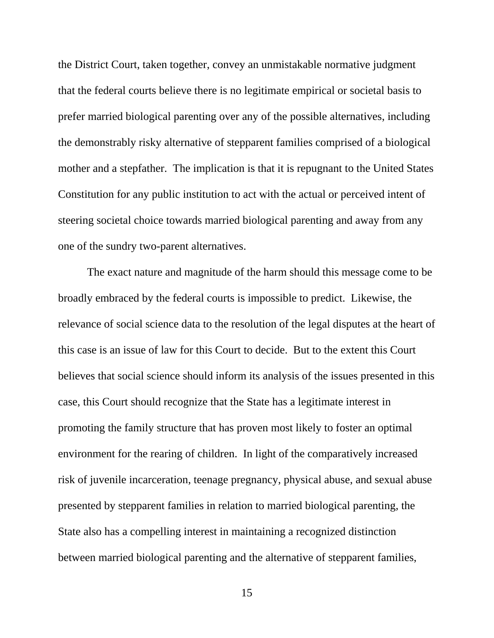the District Court, taken together, convey an unmistakable normative judgment that the federal courts believe there is no legitimate empirical or societal basis to prefer married biological parenting over any of the possible alternatives, including the demonstrably risky alternative of stepparent families comprised of a biological mother and a stepfather. The implication is that it is repugnant to the United States Constitution for any public institution to act with the actual or perceived intent of steering societal choice towards married biological parenting and away from any one of the sundry two-parent alternatives.

The exact nature and magnitude of the harm should this message come to be broadly embraced by the federal courts is impossible to predict. Likewise, the relevance of social science data to the resolution of the legal disputes at the heart of this case is an issue of law for this Court to decide. But to the extent this Court believes that social science should inform its analysis of the issues presented in this case, this Court should recognize that the State has a legitimate interest in promoting the family structure that has proven most likely to foster an optimal environment for the rearing of children. In light of the comparatively increased risk of juvenile incarceration, teenage pregnancy, physical abuse, and sexual abuse presented by stepparent families in relation to married biological parenting, the State also has a compelling interest in maintaining a recognized distinction between married biological parenting and the alternative of stepparent families,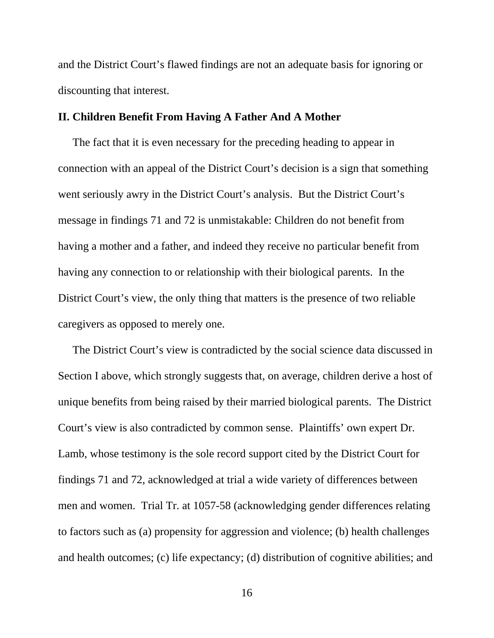and the District Court's flawed findings are not an adequate basis for ignoring or discounting that interest.

## **II. Children Benefit From Having A Father And A Mother**

 The fact that it is even necessary for the preceding heading to appear in connection with an appeal of the District Court's decision is a sign that something went seriously awry in the District Court's analysis. But the District Court's message in findings 71 and 72 is unmistakable: Children do not benefit from having a mother and a father, and indeed they receive no particular benefit from having any connection to or relationship with their biological parents. In the District Court's view, the only thing that matters is the presence of two reliable caregivers as opposed to merely one.

 The District Court's view is contradicted by the social science data discussed in Section I above, which strongly suggests that, on average, children derive a host of unique benefits from being raised by their married biological parents. The District Court's view is also contradicted by common sense. Plaintiffs' own expert Dr. Lamb, whose testimony is the sole record support cited by the District Court for findings 71 and 72, acknowledged at trial a wide variety of differences between men and women. Trial Tr. at 1057-58 (acknowledging gender differences relating to factors such as (a) propensity for aggression and violence; (b) health challenges and health outcomes; (c) life expectancy; (d) distribution of cognitive abilities; and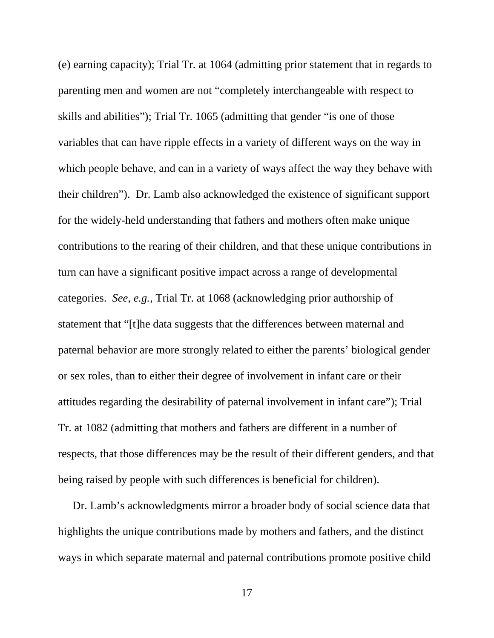(e) earning capacity); Trial Tr. at 1064 (admitting prior statement that in regards to parenting men and women are not "completely interchangeable with respect to skills and abilities"); Trial Tr. 1065 (admitting that gender "is one of those variables that can have ripple effects in a variety of different ways on the way in which people behave, and can in a variety of ways affect the way they behave with their children"). Dr. Lamb also acknowledged the existence of significant support for the widely-held understanding that fathers and mothers often make unique contributions to the rearing of their children, and that these unique contributions in turn can have a significant positive impact across a range of developmental categories. *See, e.g.,* Trial Tr. at 1068 (acknowledging prior authorship of statement that "[t]he data suggests that the differences between maternal and paternal behavior are more strongly related to either the parents' biological gender or sex roles, than to either their degree of involvement in infant care or their attitudes regarding the desirability of paternal involvement in infant care"); Trial Tr. at 1082 (admitting that mothers and fathers are different in a number of respects, that those differences may be the result of their different genders, and that being raised by people with such differences is beneficial for children).

 Dr. Lamb's acknowledgments mirror a broader body of social science data that highlights the unique contributions made by mothers and fathers, and the distinct ways in which separate maternal and paternal contributions promote positive child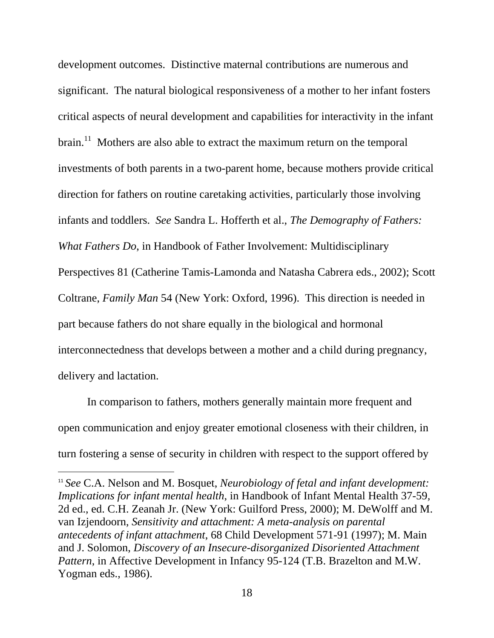development outcomes. Distinctive maternal contributions are numerous and significant. The natural biological responsiveness of a mother to her infant fosters critical aspects of neural development and capabilities for interactivity in the infant brain.<sup>11</sup> Mothers are also able to extract the maximum return on the temporal investments of both parents in a two-parent home, because mothers provide critical direction for fathers on routine caretaking activities, particularly those involving infants and toddlers. *See* Sandra L. Hofferth et al., *The Demography of Fathers: What Fathers Do*, in Handbook of Father Involvement: Multidisciplinary Perspectives 81 (Catherine Tamis-Lamonda and Natasha Cabrera eds., 2002); Scott Coltrane, *Family Man* 54 (New York: Oxford, 1996). This direction is needed in part because fathers do not share equally in the biological and hormonal interconnectedness that develops between a mother and a child during pregnancy, delivery and lactation.

In comparison to fathers, mothers generally maintain more frequent and open communication and enjoy greater emotional closeness with their children, in turn fostering a sense of security in children with respect to the support offered by

<sup>11</sup> *See* C.A. Nelson and M. Bosquet, *Neurobiology of fetal and infant development: Implications for infant mental health*, in Handbook of Infant Mental Health 37-59*,*  2d ed., ed. C.H. Zeanah Jr. (New York: Guilford Press, 2000); M. DeWolff and M. van Izjendoorn, *Sensitivity and attachment: A meta-analysis on parental antecedents of infant attachment*, 68 Child Development 571-91 (1997); M. Main and J. Solomon, *Discovery of an Insecure-disorganized Disoriented Attachment Pattern*, in Affective Development in Infancy 95-124 (T.B. Brazelton and M.W. Yogman eds., 1986).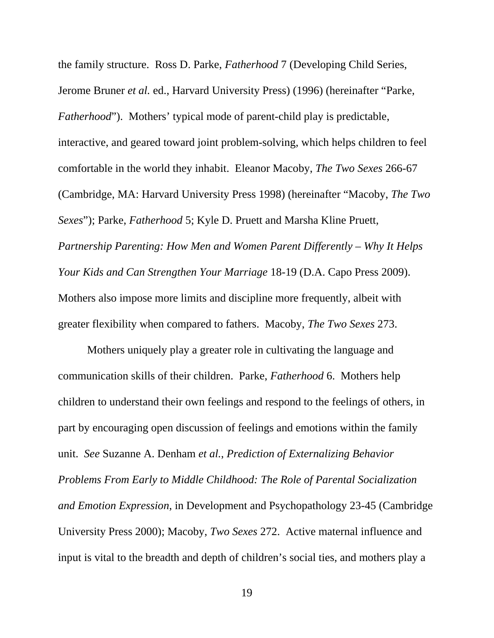the family structure. Ross D. Parke, *Fatherhood* 7 (Developing Child Series, Jerome Bruner *et al.* ed., Harvard University Press) (1996) (hereinafter "Parke, *Fatherhood*"). Mothers' typical mode of parent-child play is predictable, interactive, and geared toward joint problem-solving, which helps children to feel comfortable in the world they inhabit. Eleanor Macoby, *The Two Sexes* 266-67 (Cambridge, MA: Harvard University Press 1998) (hereinafter "Macoby, *The Two Sexes*"); Parke, *Fatherhood* 5; Kyle D. Pruett and Marsha Kline Pruett, *Partnership Parenting: How Men and Women Parent Differently – Why It Helps Your Kids and Can Strengthen Your Marriage* 18-19 (D.A. Capo Press 2009). Mothers also impose more limits and discipline more frequently, albeit with greater flexibility when compared to fathers. Macoby, *The Two Sexes* 273.

Mothers uniquely play a greater role in cultivating the language and communication skills of their children. Parke, *Fatherhood* 6. Mothers help children to understand their own feelings and respond to the feelings of others, in part by encouraging open discussion of feelings and emotions within the family unit. *See* Suzanne A. Denham *et al.*, *Prediction of Externalizing Behavior Problems From Early to Middle Childhood: The Role of Parental Socialization and Emotion Expression*, in Development and Psychopathology 23-45 (Cambridge University Press 2000); Macoby, *Two Sexes* 272. Active maternal influence and input is vital to the breadth and depth of children's social ties, and mothers play a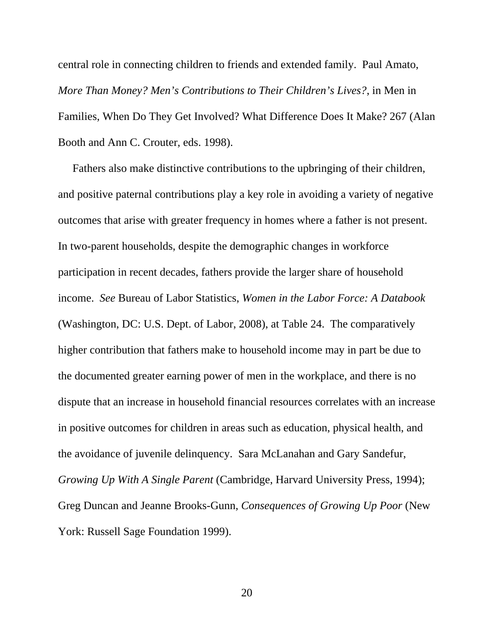central role in connecting children to friends and extended family. Paul Amato, *More Than Money? Men's Contributions to Their Children's Lives?*, in Men in Families, When Do They Get Involved? What Difference Does It Make? 267 (Alan Booth and Ann C. Crouter, eds. 1998).

 Fathers also make distinctive contributions to the upbringing of their children, and positive paternal contributions play a key role in avoiding a variety of negative outcomes that arise with greater frequency in homes where a father is not present. In two-parent households, despite the demographic changes in workforce participation in recent decades, fathers provide the larger share of household income. *See* Bureau of Labor Statistics, *Women in the Labor Force: A Databook*  (Washington, DC: U.S. Dept. of Labor, 2008), at Table 24. The comparatively higher contribution that fathers make to household income may in part be due to the documented greater earning power of men in the workplace, and there is no dispute that an increase in household financial resources correlates with an increase in positive outcomes for children in areas such as education, physical health, and the avoidance of juvenile delinquency. Sara McLanahan and Gary Sandefur, *Growing Up With A Single Parent* (Cambridge, Harvard University Press, 1994); Greg Duncan and Jeanne Brooks-Gunn, *Consequences of Growing Up Poor* (New York: Russell Sage Foundation 1999).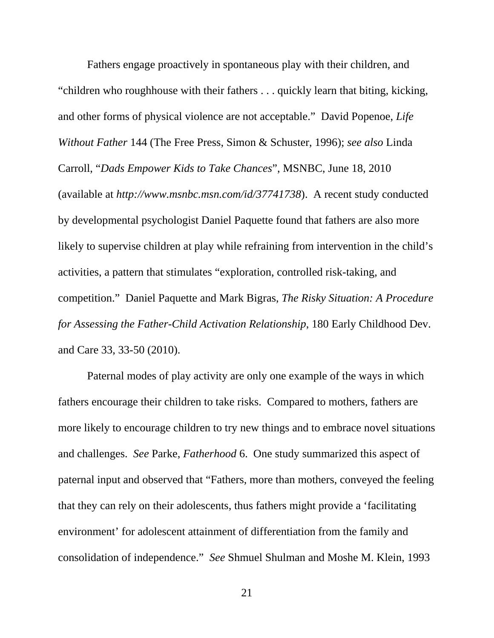Fathers engage proactively in spontaneous play with their children, and "children who roughhouse with their fathers . . . quickly learn that biting, kicking, and other forms of physical violence are not acceptable." David Popenoe, *Life Without Father* 144 (The Free Press, Simon & Schuster, 1996); *see also* Linda Carroll, "*Dads Empower Kids to Take Chances*", MSNBC, June 18, 2010 (available at *http://www.msnbc.msn.com/id/37741738*). A recent study conducted by developmental psychologist Daniel Paquette found that fathers are also more likely to supervise children at play while refraining from intervention in the child's activities, a pattern that stimulates "exploration, controlled risk-taking, and competition." Daniel Paquette and Mark Bigras, *The Risky Situation: A Procedure for Assessing the Father-Child Activation Relationship*, 180 Early Childhood Dev. and Care 33, 33-50 (2010).

Paternal modes of play activity are only one example of the ways in which fathers encourage their children to take risks. Compared to mothers, fathers are more likely to encourage children to try new things and to embrace novel situations and challenges. *See* Parke, *Fatherhood* 6. One study summarized this aspect of paternal input and observed that "Fathers, more than mothers, conveyed the feeling that they can rely on their adolescents, thus fathers might provide a 'facilitating environment' for adolescent attainment of differentiation from the family and consolidation of independence." *See* Shmuel Shulman and Moshe M. Klein, 1993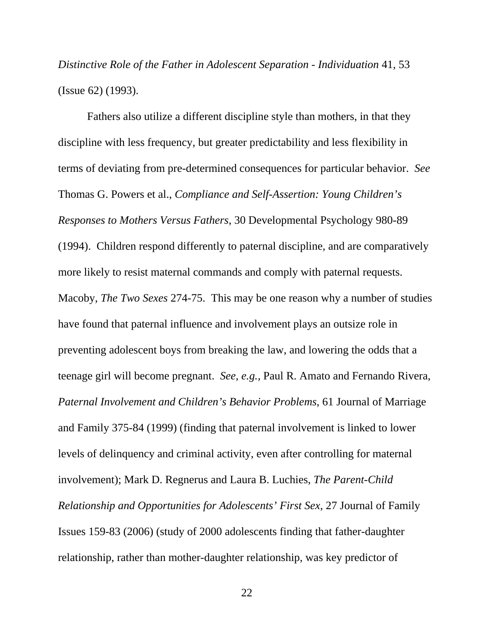*Distinctive Role of the Father in Adolescent Separation - Individuation* 41, 53 (Issue 62) (1993).

Fathers also utilize a different discipline style than mothers, in that they discipline with less frequency, but greater predictability and less flexibility in terms of deviating from pre-determined consequences for particular behavior. *See* Thomas G. Powers et al., *Compliance and Self-Assertion: Young Children's Responses to Mothers Versus Fathers*, 30 Developmental Psychology 980-89 (1994). Children respond differently to paternal discipline, and are comparatively more likely to resist maternal commands and comply with paternal requests. Macoby, *The Two Sexes* 274-75. This may be one reason why a number of studies have found that paternal influence and involvement plays an outsize role in preventing adolescent boys from breaking the law, and lowering the odds that a teenage girl will become pregnant. *See, e.g.,* Paul R. Amato and Fernando Rivera, *Paternal Involvement and Children's Behavior Problems*, 61 Journal of Marriage and Family 375-84 (1999) (finding that paternal involvement is linked to lower levels of delinquency and criminal activity, even after controlling for maternal involvement); Mark D. Regnerus and Laura B. Luchies, *The Parent-Child Relationship and Opportunities for Adolescents' First Sex*, 27 Journal of Family Issues 159-83 (2006) (study of 2000 adolescents finding that father-daughter relationship, rather than mother-daughter relationship, was key predictor of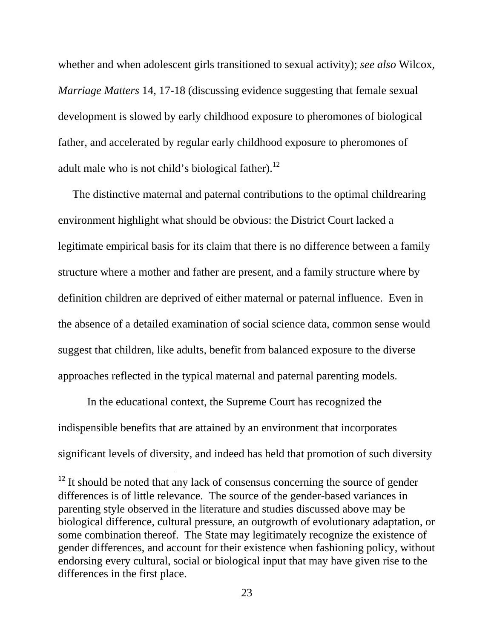whether and when adolescent girls transitioned to sexual activity); *see also* Wilcox, *Marriage Matters* 14, 17-18 (discussing evidence suggesting that female sexual development is slowed by early childhood exposure to pheromones of biological father, and accelerated by regular early childhood exposure to pheromones of adult male who is not child's biological father).<sup>12</sup>

 The distinctive maternal and paternal contributions to the optimal childrearing environment highlight what should be obvious: the District Court lacked a legitimate empirical basis for its claim that there is no difference between a family structure where a mother and father are present, and a family structure where by definition children are deprived of either maternal or paternal influence. Even in the absence of a detailed examination of social science data, common sense would suggest that children, like adults, benefit from balanced exposure to the diverse approaches reflected in the typical maternal and paternal parenting models.

In the educational context, the Supreme Court has recognized the indispensible benefits that are attained by an environment that incorporates significant levels of diversity, and indeed has held that promotion of such diversity

 $12$  It should be noted that any lack of consensus concerning the source of gender differences is of little relevance. The source of the gender-based variances in parenting style observed in the literature and studies discussed above may be biological difference, cultural pressure, an outgrowth of evolutionary adaptation, or some combination thereof. The State may legitimately recognize the existence of gender differences, and account for their existence when fashioning policy, without endorsing every cultural, social or biological input that may have given rise to the differences in the first place.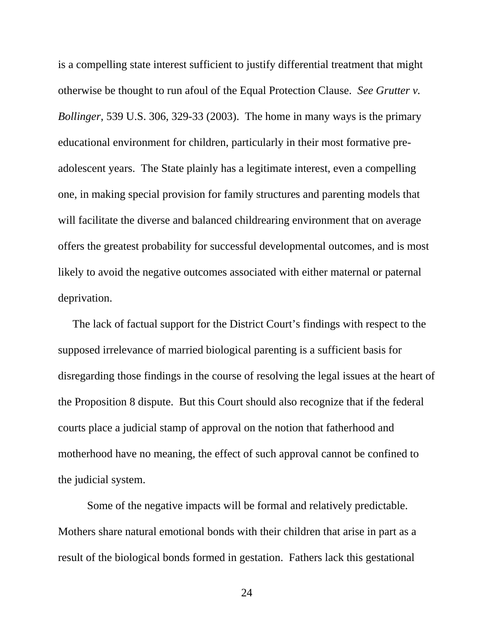is a compelling state interest sufficient to justify differential treatment that might otherwise be thought to run afoul of the Equal Protection Clause. *See Grutter v. Bollinger*, 539 U.S. 306, 329-33 (2003). The home in many ways is the primary educational environment for children, particularly in their most formative preadolescent years. The State plainly has a legitimate interest, even a compelling one, in making special provision for family structures and parenting models that will facilitate the diverse and balanced childrearing environment that on average offers the greatest probability for successful developmental outcomes, and is most likely to avoid the negative outcomes associated with either maternal or paternal deprivation.

 The lack of factual support for the District Court's findings with respect to the supposed irrelevance of married biological parenting is a sufficient basis for disregarding those findings in the course of resolving the legal issues at the heart of the Proposition 8 dispute. But this Court should also recognize that if the federal courts place a judicial stamp of approval on the notion that fatherhood and motherhood have no meaning, the effect of such approval cannot be confined to the judicial system.

Some of the negative impacts will be formal and relatively predictable. Mothers share natural emotional bonds with their children that arise in part as a result of the biological bonds formed in gestation. Fathers lack this gestational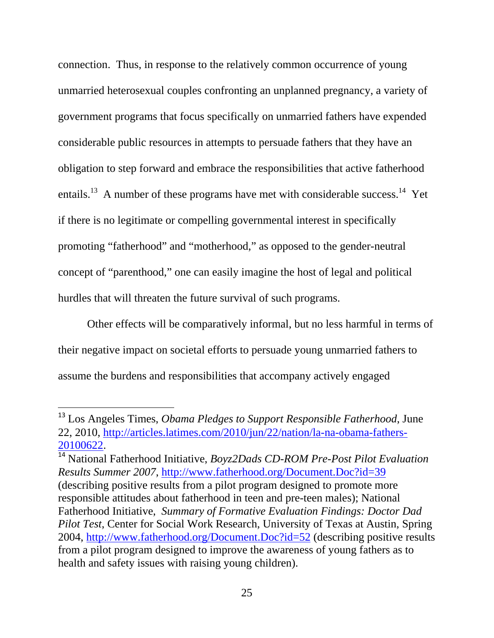connection. Thus, in response to the relatively common occurrence of young unmarried heterosexual couples confronting an unplanned pregnancy, a variety of government programs that focus specifically on unmarried fathers have expended considerable public resources in attempts to persuade fathers that they have an obligation to step forward and embrace the responsibilities that active fatherhood entails.<sup>13</sup> A number of these programs have met with considerable success.<sup>14</sup> Yet if there is no legitimate or compelling governmental interest in specifically promoting "fatherhood" and "motherhood," as opposed to the gender-neutral concept of "parenthood," one can easily imagine the host of legal and political hurdles that will threaten the future survival of such programs.

Other effects will be comparatively informal, but no less harmful in terms of their negative impact on societal efforts to persuade young unmarried fathers to assume the burdens and responsibilities that accompany actively engaged

<sup>13</sup> Los Angeles Times, *Obama Pledges to Support Responsible Fatherhood*, June 22, 2010, http://articles.latimes.com/2010/jun/22/nation/la-na-obama-fathers-20100622.

<sup>14</sup> National Fatherhood Initiative, *Boyz2Dads CD-ROM Pre-Post Pilot Evaluation Results Summer 2007*, http://www.fatherhood.org/Document.Doc?id=39 (describing positive results from a pilot program designed to promote more responsible attitudes about fatherhood in teen and pre-teen males); National Fatherhood Initiative, *Summary of Formative Evaluation Findings: Doctor Dad Pilot Test*, Center for Social Work Research, University of Texas at Austin, Spring 2004, http://www.fatherhood.org/Document.Doc?id=52 (describing positive results from a pilot program designed to improve the awareness of young fathers as to health and safety issues with raising young children).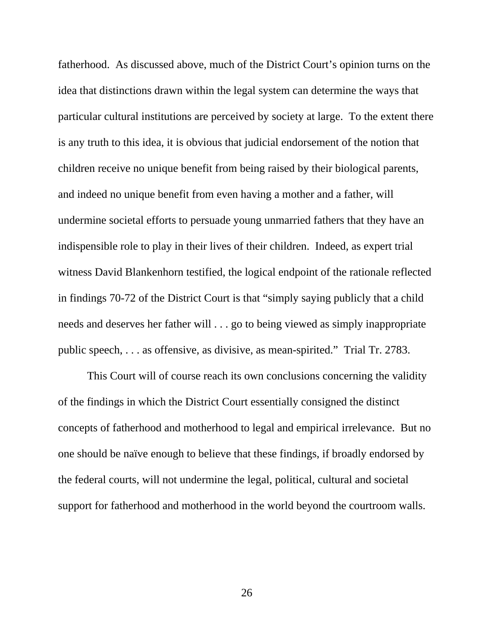fatherhood. As discussed above, much of the District Court's opinion turns on the idea that distinctions drawn within the legal system can determine the ways that particular cultural institutions are perceived by society at large. To the extent there is any truth to this idea, it is obvious that judicial endorsement of the notion that children receive no unique benefit from being raised by their biological parents, and indeed no unique benefit from even having a mother and a father, will undermine societal efforts to persuade young unmarried fathers that they have an indispensible role to play in their lives of their children. Indeed, as expert trial witness David Blankenhorn testified, the logical endpoint of the rationale reflected in findings 70-72 of the District Court is that "simply saying publicly that a child needs and deserves her father will . . . go to being viewed as simply inappropriate public speech, . . . as offensive, as divisive, as mean-spirited." Trial Tr. 2783.

This Court will of course reach its own conclusions concerning the validity of the findings in which the District Court essentially consigned the distinct concepts of fatherhood and motherhood to legal and empirical irrelevance. But no one should be naïve enough to believe that these findings, if broadly endorsed by the federal courts, will not undermine the legal, political, cultural and societal support for fatherhood and motherhood in the world beyond the courtroom walls.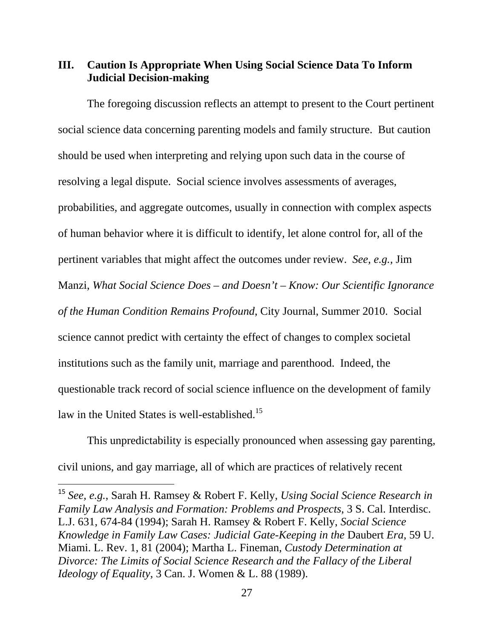# **III. Caution Is Appropriate When Using Social Science Data To Inform Judicial Decision-making**

The foregoing discussion reflects an attempt to present to the Court pertinent social science data concerning parenting models and family structure. But caution should be used when interpreting and relying upon such data in the course of resolving a legal dispute. Social science involves assessments of averages, probabilities, and aggregate outcomes, usually in connection with complex aspects of human behavior where it is difficult to identify, let alone control for, all of the pertinent variables that might affect the outcomes under review. *See, e.g.,* Jim Manzi, *What Social Science Does – and Doesn't – Know: Our Scientific Ignorance of the Human Condition Remains Profound*, City Journal, Summer 2010. Social science cannot predict with certainty the effect of changes to complex societal institutions such as the family unit, marriage and parenthood. Indeed, the questionable track record of social science influence on the development of family law in the United States is well-established.<sup>15</sup>

This unpredictability is especially pronounced when assessing gay parenting, civil unions, and gay marriage, all of which are practices of relatively recent

<sup>15</sup> *See, e.g.*, Sarah H. Ramsey & Robert F. Kelly, *Using Social Science Research in Family Law Analysis and Formation: Problems and Prospects*, 3 S. Cal. Interdisc. L.J. 631, 674-84 (1994); Sarah H. Ramsey & Robert F. Kelly, *Social Science Knowledge in Family Law Cases: Judicial Gate-Keeping in the* Daubert *Era*, 59 U. Miami. L. Rev. 1, 81 (2004); Martha L. Fineman, *Custody Determination at Divorce: The Limits of Social Science Research and the Fallacy of the Liberal Ideology of Equality*, 3 Can. J. Women & L. 88 (1989).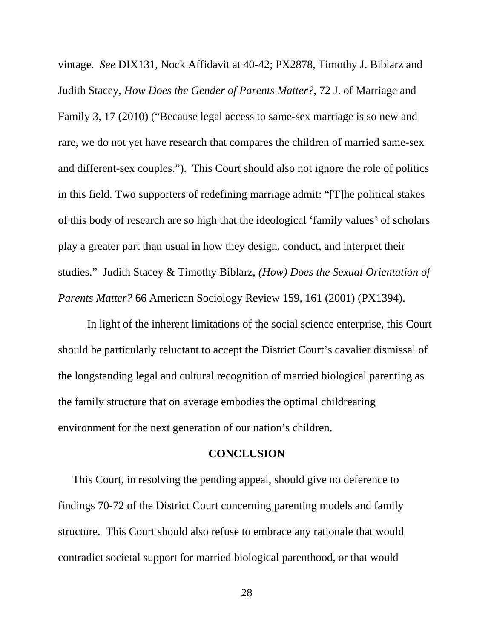vintage. *See* DIX131, Nock Affidavit at 40-42; PX2878, Timothy J. Biblarz and Judith Stacey, *How Does the Gender of Parents Matter?*, 72 J. of Marriage and Family 3, 17 (2010) ("Because legal access to same-sex marriage is so new and rare, we do not yet have research that compares the children of married same-sex and different-sex couples."). This Court should also not ignore the role of politics in this field. Two supporters of redefining marriage admit: "[T]he political stakes of this body of research are so high that the ideological 'family values' of scholars play a greater part than usual in how they design, conduct, and interpret their studies." Judith Stacey & Timothy Biblarz, *(How) Does the Sexual Orientation of Parents Matter?* 66 American Sociology Review 159, 161 (2001) (PX1394).

In light of the inherent limitations of the social science enterprise, this Court should be particularly reluctant to accept the District Court's cavalier dismissal of the longstanding legal and cultural recognition of married biological parenting as the family structure that on average embodies the optimal childrearing environment for the next generation of our nation's children.

#### **CONCLUSION**

 This Court, in resolving the pending appeal, should give no deference to findings 70-72 of the District Court concerning parenting models and family structure. This Court should also refuse to embrace any rationale that would contradict societal support for married biological parenthood, or that would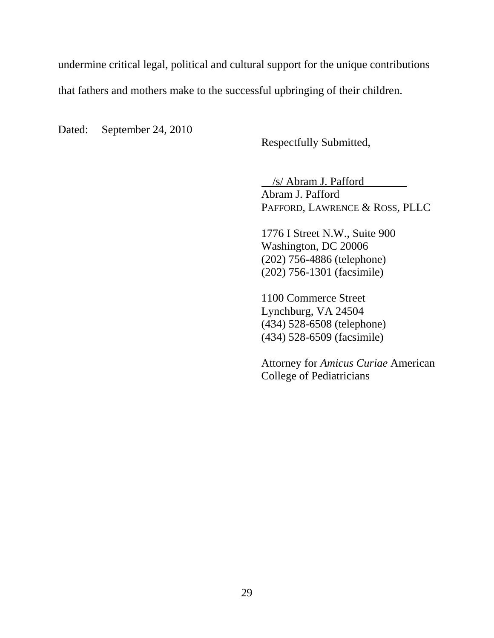undermine critical legal, political and cultural support for the unique contributions

that fathers and mothers make to the successful upbringing of their children.

Dated: September 24, 2010

Respectfully Submitted,

 /s/ Abram J. Pafford Abram J. Pafford PAFFORD, LAWRENCE & ROSS, PLLC

1776 I Street N.W., Suite 900 Washington, DC 20006 (202) 756-4886 (telephone) (202) 756-1301 (facsimile)

1100 Commerce Street Lynchburg, VA 24504 (434) 528-6508 (telephone) (434) 528-6509 (facsimile)

Attorney for *Amicus Curiae* American College of Pediatricians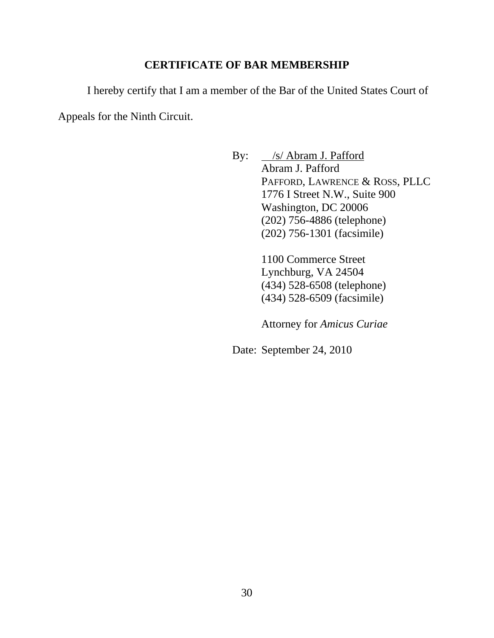## **CERTIFICATE OF BAR MEMBERSHIP**

I hereby certify that I am a member of the Bar of the United States Court of Appeals for the Ninth Circuit.

> By: /s/ Abram J. Pafford Abram J. Pafford PAFFORD, LAWRENCE & ROSS, PLLC 1776 I Street N.W., Suite 900 Washington, DC 20006 (202) 756-4886 (telephone) (202) 756-1301 (facsimile)

> > 1100 Commerce Street Lynchburg, VA 24504 (434) 528-6508 (telephone) (434) 528-6509 (facsimile)

Attorney for *Amicus Curiae* 

Date: September 24, 2010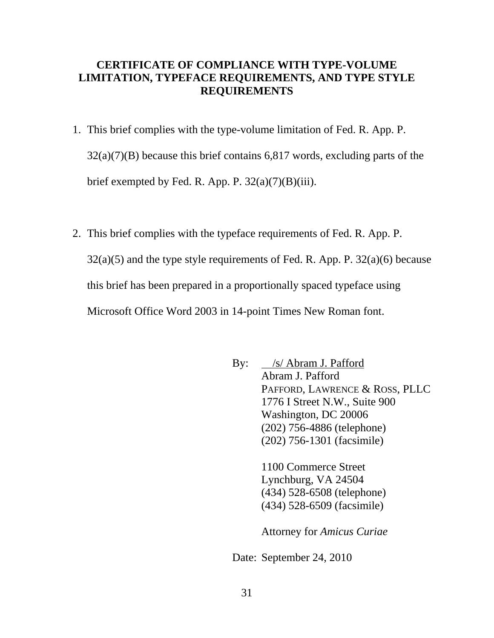## **CERTIFICATE OF COMPLIANCE WITH TYPE-VOLUME LIMITATION, TYPEFACE REQUIREMENTS, AND TYPE STYLE REQUIREMENTS**

- 1. This brief complies with the type-volume limitation of Fed. R. App. P. 32(a)(7)(B) because this brief contains 6,817 words, excluding parts of the brief exempted by Fed. R. App. P.  $32(a)(7)(B)(iii)$ .
- 2. This brief complies with the typeface requirements of Fed. R. App. P.  $32(a)(5)$  and the type style requirements of Fed. R. App. P.  $32(a)(6)$  because this brief has been prepared in a proportionally spaced typeface using Microsoft Office Word 2003 in 14-point Times New Roman font.

By: /s/ Abram J. Pafford Abram J. Pafford PAFFORD, LAWRENCE & ROSS, PLLC 1776 I Street N.W., Suite 900 Washington, DC 20006 (202) 756-4886 (telephone) (202) 756-1301 (facsimile) 1100 Commerce Street Lynchburg, VA 24504 (434) 528-6508 (telephone) (434) 528-6509 (facsimile) Attorney for *Amicus Curiae*  Date: September 24, 2010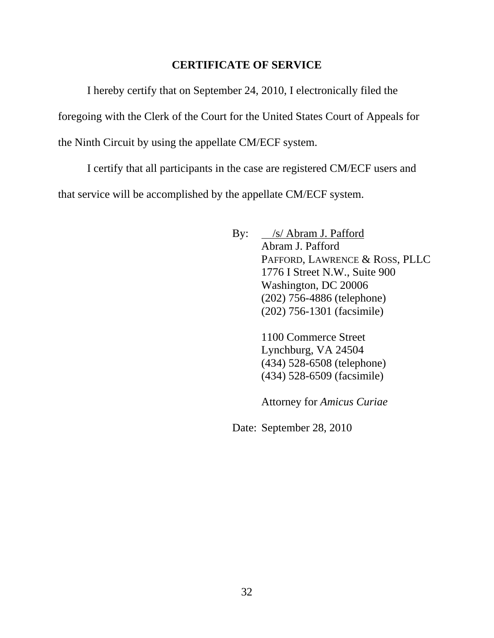## **CERTIFICATE OF SERVICE**

I hereby certify that on September 24, 2010, I electronically filed the foregoing with the Clerk of the Court for the United States Court of Appeals for the Ninth Circuit by using the appellate CM/ECF system.

I certify that all participants in the case are registered CM/ECF users and that service will be accomplished by the appellate CM/ECF system.

> By: /s/ Abram J. Pafford Abram J. Pafford PAFFORD, LAWRENCE & ROSS, PLLC 1776 I Street N.W., Suite 900 Washington, DC 20006 (202) 756-4886 (telephone) (202) 756-1301 (facsimile)

> > 1100 Commerce Street Lynchburg, VA 24504 (434) 528-6508 (telephone) (434) 528-6509 (facsimile)

> > Attorney for *Amicus Curiae*

Date: September 28, 2010